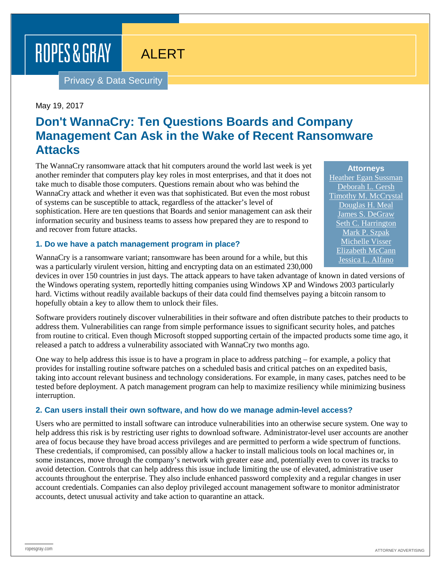# ROPES & GRAY

# ALERT

Privacy & Data Security

#### May 19, 2017

# **Don't WannaCry: Ten Questions Boards and Company Management Can Ask in the Wake of Recent Ransomware Attacks**

The WannaCry ransomware attack that hit computers around the world last week is yet another reminder that computers play key roles in most enterprises, and that it does not take much to disable those computers. Questions remain about who was behind the WannaCry attack and whether it even was that sophisticated. But even the most robust of systems can be susceptible to attack, regardless of the attacker's level of sophistication. Here are ten questions that Boards and senior management can ask their information security and business teams to assess how prepared they are to respond to and recover from future attacks.

#### **1. Do we have a patch management program in place?**

WannaCry is a ransomware variant; ransomware has been around for a while, but this was a particularly virulent version, hitting and encrypting data on an estimated 230,000

devices in over 150 countries in just days. The attack appears to have taken advantage of known in dated versions of the Windows operating system, reportedly hitting companies using Windows XP and Windows 2003 particularly hard. Victims without readily available backups of their data could find themselves paying a bitcoin ransom to hopefully obtain a key to allow them to unlock their files.

Software providers routinely discover vulnerabilities in their software and often distribute patches to their products to address them. Vulnerabilities can range from simple performance issues to significant security holes, and patches from routine to critical. Even though Microsoft stopped supporting certain of the impacted products some time ago, it released a patch to address a vulnerability associated with WannaCry two months ago.

One way to help address this issue is to have a program in place to address patching – for example, a policy that provides for installing routine software patches on a scheduled basis and critical patches on an expedited basis, taking into account relevant business and technology considerations. For example, in many cases, patches need to be tested before deployment. A patch management program can help to maximize resiliency while minimizing business interruption.

#### **2. Can users install their own software, and how do we manage admin-level access?**

Users who are permitted to install software can introduce vulnerabilities into an otherwise secure system. One way to help address this risk is by restricting user rights to download software. Administrator-level user accounts are another area of focus because they have broad access privileges and are permitted to perform a wide spectrum of functions. These credentials, if compromised, can possibly allow a hacker to install malicious tools on local machines or, in some instances, move through the company's network with greater ease and, potentially even to cover its tracks to avoid detection. Controls that can help address this issue include limiting the use of elevated, administrative user accounts throughout the enterprise. They also include enhanced password complexity and a regular changes in user account credentials. Companies can also deploy privileged account management software to monitor administrator accounts, detect unusual activity and take action to quarantine an attack.

**Attorneys** [Heather Egan Sussman](https://www.ropesgray.com/biographies/s/heather-egan-sussman.aspx) [Deborah L. Gersh](https://www.ropesgray.com/biographies/g/deborah-gersh.aspx) [Timothy M. McCrystal](https://www.ropesgray.com/biographies/m/timothy-m-mccrystal.aspx) [Douglas H. Meal](https://www.ropesgray.com/biographies/m/douglas-h-meal.aspx) [James S. DeGraw](https://www.ropesgray.com/biographies/d/james-s-degraw.aspx) [Seth C. Harrington](https://www.ropesgray.com/biographies/h/seth-c-harrington.aspx) [Mark P. Szpak](https://www.ropesgray.com/biographies/s/mark-p-szpak.aspx) [Michelle Visser](https://www.ropesgray.com/biographies/v/michelle-visser.aspx) [Elizabeth McCann](https://www.ropesgray.com/biographies/m/elizabeth-mccann.aspx) [Jessica L. Alfano](https://www.ropesgray.com/biographies/a/jessica-l-alfano.aspx)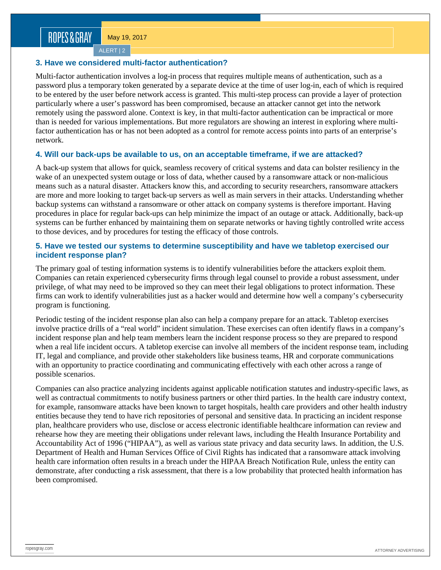May 19, 2017

ALERT | 2

#### **3. Have we considered multi-factor authentication?**

Multi-factor authentication involves a log-in process that requires multiple means of authentication, such as a password plus a temporary token generated by a separate device at the time of user log-in, each of which is required to be entered by the user before network access is granted. This multi-step process can provide a layer of protection particularly where a user's password has been compromised, because an attacker cannot get into the network remotely using the password alone. Context is key, in that multi-factor authentication can be impractical or more than is needed for various implementations. But more regulators are showing an interest in exploring where multifactor authentication has or has not been adopted as a control for remote access points into parts of an enterprise's network.

### **4. Will our back-ups be available to us, on an acceptable timeframe, if we are attacked?**

A back-up system that allows for quick, seamless recovery of critical systems and data can bolster resiliency in the wake of an unexpected system outage or loss of data, whether caused by a ransomware attack or non-malicious means such as a natural disaster. Attackers know this, and according to security researchers, ransomware attackers are more and more looking to target back-up servers as well as main servers in their attacks. Understanding whether backup systems can withstand a ransomware or other attack on company systems is therefore important. Having procedures in place for regular back-ups can help minimize the impact of an outage or attack. Additionally, back-up systems can be further enhanced by maintaining them on separate networks or having tightly controlled write access to those devices, and by procedures for testing the efficacy of those controls.

#### **5. Have we tested our systems to determine susceptibility and have we tabletop exercised our incident response plan?**

The primary goal of testing information systems is to identify vulnerabilities before the attackers exploit them. Companies can retain experienced cybersecurity firms through legal counsel to provide a robust assessment, under privilege, of what may need to be improved so they can meet their legal obligations to protect information. These firms can work to identify vulnerabilities just as a hacker would and determine how well a company's cybersecurity program is functioning.

Periodic testing of the incident response plan also can help a company prepare for an attack. Tabletop exercises involve practice drills of a "real world" incident simulation. These exercises can often identify flaws in a company's incident response plan and help team members learn the incident response process so they are prepared to respond when a real life incident occurs. A tabletop exercise can involve all members of the incident response team, including IT, legal and compliance, and provide other stakeholders like business teams, HR and corporate communications with an opportunity to practice coordinating and communicating effectively with each other across a range of possible scenarios.

Companies can also practice analyzing incidents against applicable notification statutes and industry-specific laws, as well as contractual commitments to notify business partners or other third parties. In the health care industry context, for example, ransomware attacks have been known to target hospitals, health care providers and other health industry entities because they tend to have rich repositories of personal and sensitive data. In practicing an incident response plan, healthcare providers who use, disclose or access electronic identifiable healthcare information can review and rehearse how they are meeting their obligations under relevant laws, including the Health Insurance Portability and Accountability Act of 1996 ("HIPAA"), as well as various state privacy and data security laws. In addition, the U.S. Department of Health and Human Services Office of Civil Rights has indicated that a ransomware attack involving health care information often results in a breach under the HIPAA Breach Notification Rule, unless the entity can demonstrate, after conducting a risk assessment, that there is a low probability that protected health information has been compromised.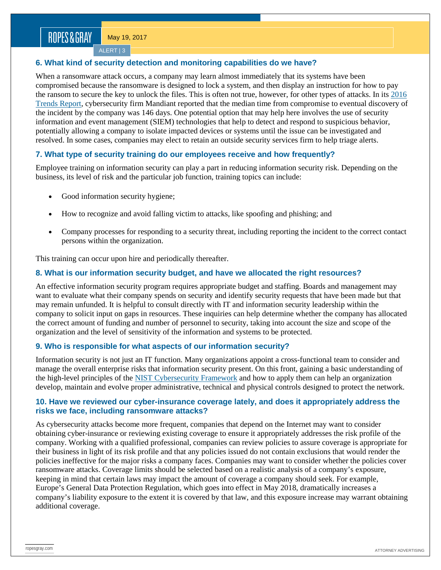May 19, 2017

ALERT | 3

## **6. What kind of security detection and monitoring capabilities do we have?**

When a ransomware attack occurs, a company may learn almost immediately that its systems have been compromised because the ransomware is designed to lock a system, and then display an instruction for how to pay the ransom to secure the key to unlock the files. This is often not true, however, for other types of attacks. In its [2016](https://hpe-enterpriseforward.com/wp-content/uploads/2016/03/Mtrends2016.pdf)  [Trends Report,](https://hpe-enterpriseforward.com/wp-content/uploads/2016/03/Mtrends2016.pdf) cybersecurity firm Mandiant reported that the median time from compromise to eventual discovery of the incident by the company was 146 days. One potential option that may help here involves the use of security information and event management (SIEM) technologies that help to detect and respond to suspicious behavior, potentially allowing a company to isolate impacted devices or systems until the issue can be investigated and resolved. In some cases, companies may elect to retain an outside security services firm to help triage alerts.

# **7. What type of security training do our employees receive and how frequently?**

Employee training on information security can play a part in reducing information security risk. Depending on the business, its level of risk and the particular job function, training topics can include:

- Good information security hygiene;
- How to recognize and avoid falling victim to attacks, like spoofing and phishing; and
- Company processes for responding to a security threat, including reporting the incident to the correct contact persons within the organization.

This training can occur upon hire and periodically thereafter.

# **8. What is our information security budget, and have we allocated the right resources?**

An effective information security program requires appropriate budget and staffing. Boards and management may want to evaluate what their company spends on security and identify security requests that have been made but that may remain unfunded. It is helpful to consult directly with IT and information security leadership within the company to solicit input on gaps in resources. These inquiries can help determine whether the company has allocated the correct amount of funding and number of personnel to security, taking into account the size and scope of the organization and the level of sensitivity of the information and systems to be protected.

# **9. Who is responsible for what aspects of our information security?**

Information security is not just an IT function. Many organizations appoint a cross-functional team to consider and manage the overall enterprise risks that information security present. On this front, gaining a basic understanding of the high-level principles of the [NIST Cybersecurity Framework](https://www.nist.gov/sites/default/files/documents/cyberframework/cybersecurity-framework-021214.pdf) and how to apply them can help an organization develop, maintain and evolve proper administrative, technical and physical controls designed to protect the network.

#### **10. Have we reviewed our cyber-insurance coverage lately, and does it appropriately address the risks we face, including ransomware attacks?**

As cybersecurity attacks become more frequent, companies that depend on the Internet may want to consider obtaining cyber-insurance or reviewing existing coverage to ensure it appropriately addresses the risk profile of the company. Working with a qualified professional, companies can review policies to assure coverage is appropriate for their business in light of its risk profile and that any policies issued do not contain exclusions that would render the policies ineffective for the major risks a company faces. Companies may want to consider whether the policies cover ransomware attacks. Coverage limits should be selected based on a realistic analysis of a company's exposure, keeping in mind that certain laws may impact the amount of coverage a company should seek. For example, Europe's General Data Protection Regulation, which goes into effect in May 2018, dramatically increases a company's liability exposure to the extent it is covered by that law, and this exposure increase may warrant obtaining additional coverage.